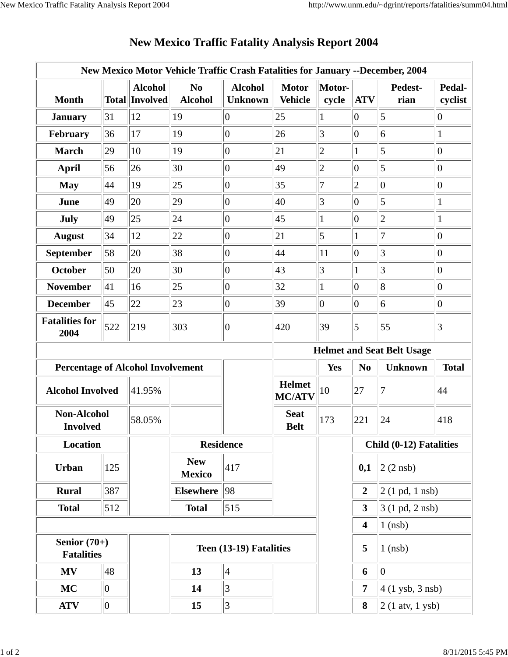| New Mexico Motor Vehicle Traffic Crash Fatalities for January --December, 2004 |     |                                         |                                  |                                  |                                   |                 |                         |                                  |                   |  |
|--------------------------------------------------------------------------------|-----|-----------------------------------------|----------------------------------|----------------------------------|-----------------------------------|-----------------|-------------------------|----------------------------------|-------------------|--|
| <b>Month</b>                                                                   |     | <b>Alcohol</b><br><b>Total Involved</b> | N <sub>0</sub><br><b>Alcohol</b> | <b>Alcohol</b><br><b>Unknown</b> | <b>Motor</b><br><b>Vehicle</b>    | Motor-<br>cycle | <b>ATV</b>              | Pedest-<br>rian                  | Pedal-<br>cyclist |  |
| <b>January</b>                                                                 | 31  | 12                                      | 19                               | $ 0\rangle$                      | 25                                |                 | $\overline{0}$          | 5                                | $ 0\rangle$       |  |
| February                                                                       | 36  | 17                                      | 19                               | $ 0\rangle$                      | 26                                | 3               | $ 0\rangle$             | 6                                | $\mathbf{1}$      |  |
| <b>March</b>                                                                   | 29  | 10                                      | 19                               | $\overline{0}$                   | 21                                | $\overline{2}$  |                         | 5                                | $ 0\rangle$       |  |
| <b>April</b>                                                                   | 56  | 26                                      | 30                               | $ 0\rangle$                      | 49                                | $\overline{c}$  | $ 0\rangle$             | 5                                | $ 0\rangle$       |  |
| <b>May</b>                                                                     | 44  | 19                                      | 25                               | $ 0\rangle$                      | 35                                | 7               | $\overline{2}$          | $\overline{0}$                   | $ 0\rangle$       |  |
| June                                                                           | 49  | 20                                      | 29                               | $ 0\rangle$                      | 40                                | 3               | $\overline{0}$          | 5                                | $\mathbf{1}$      |  |
| July                                                                           | 49  | 25                                      | 24                               | $ 0\rangle$                      | 45                                |                 | $\overline{0}$          | $\overline{2}$                   | $\mathbf{1}$      |  |
| <b>August</b>                                                                  | 34  | 12                                      | 22                               | $ 0\rangle$                      | 21                                | 5               | 1                       | 7                                | $ 0\rangle$       |  |
| <b>September</b>                                                               | 58  | 20                                      | 38                               | $ 0\rangle$                      | 44                                | 11              | $ 0\rangle$             | 3                                | $ 0\rangle$       |  |
| October                                                                        | 50  | 20                                      | 30                               | $\overline{0}$                   | 43                                | 3               | 1                       | 3                                | $ 0\rangle$       |  |
| <b>November</b>                                                                | 41  | 16                                      | 25                               | $\vert 0 \vert$                  | 32                                |                 | $\overline{0}$          | 8                                | $ 0\rangle$       |  |
| <b>December</b>                                                                | 45  | 22                                      | 23                               | $ 0\rangle$                      | 39                                | $\overline{0}$  | $\overline{0}$          | 6                                | $ 0\rangle$       |  |
| <b>Fatalities for</b><br>2004                                                  | 522 | 219                                     | 303                              | $\theta$                         | 420                               | 39              | $\overline{5}$          | 55                               | $\vert 3 \vert$   |  |
|                                                                                |     |                                         |                                  |                                  | <b>Helmet and Seat Belt Usage</b> |                 |                         |                                  |                   |  |
| <b>Percentage of Alcohol Involvement</b>                                       |     |                                         |                                  |                                  |                                   | <b>Yes</b>      | N <sub>0</sub>          | <b>Unknown</b>                   | <b>Total</b>      |  |
| <b>Alcohol Involved</b>                                                        |     | 41.95%                                  |                                  |                                  | <b>Helmet</b><br><b>MC/ATV</b>    | 10              | 27                      | 7                                | 44                |  |
| <b>Non-Alcohol</b><br><b>Involved</b>                                          |     |                                         |                                  |                                  |                                   |                 |                         |                                  |                   |  |
|                                                                                |     | 58.05%                                  |                                  |                                  | <b>Seat</b><br><b>Belt</b>        | 173             | 221                     | 24                               | 418               |  |
| Location                                                                       |     |                                         | <b>Residence</b>                 |                                  |                                   |                 |                         | Child (0-12) Fatalities          |                   |  |
| <b>Urban</b>                                                                   | 125 |                                         | <b>New</b><br><b>Mexico</b>      | 417                              |                                   |                 | 0,1                     | $2(2$ nsb)                       |                   |  |
| <b>Rural</b>                                                                   | 387 |                                         | <b>Elsewhere</b>                 | 98                               |                                   |                 | $\overline{2}$          | $2(1 \text{ pd}, 1 \text{ nsb})$ |                   |  |
| <b>Total</b>                                                                   | 512 |                                         | <b>Total</b>                     | 515                              |                                   |                 | $\overline{\mathbf{3}}$ | $3(1 \text{ pd}, 2 \text{ nsb})$ |                   |  |
|                                                                                |     |                                         |                                  |                                  |                                   |                 | $\overline{\mathbf{4}}$ | $1$ (nsb)                        |                   |  |
| Senior $(70+)$<br><b>Fatalities</b>                                            |     |                                         |                                  | Teen (13-19) Fatalities          |                                   |                 | 5                       | $1$ (nsb)                        |                   |  |
| <b>MV</b>                                                                      | 48  |                                         | 13                               | $\vert 4 \vert$                  |                                   |                 | 6                       | $ 0\rangle$                      |                   |  |
| <b>MC</b>                                                                      | 0   |                                         | 14                               | 3                                |                                   |                 | 7                       | 4 (1 ysb, 3 nsb)                 |                   |  |

## **New Mexico Traffic Fatality Analysis Report 2004**